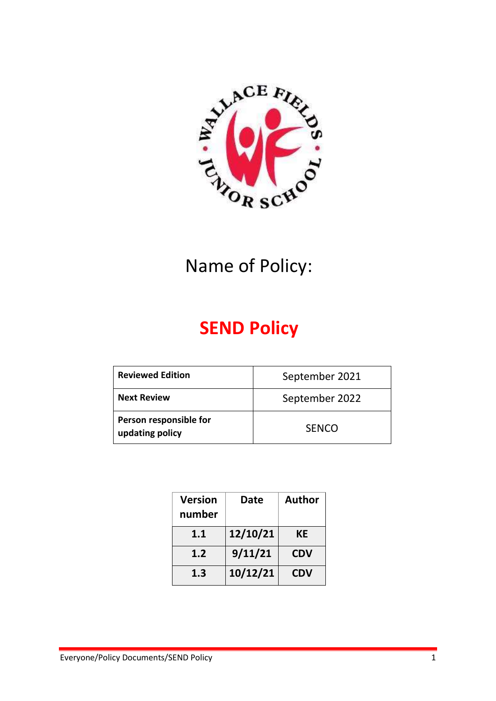

# **SEND Policy**

| <b>Reviewed Edition</b>                   | September 2021 |
|-------------------------------------------|----------------|
| <b>Next Review</b>                        | September 2022 |
| Person responsible for<br>updating policy | <b>SENCO</b>   |

| <b>Version</b><br>number | Date     | <b>Author</b> |
|--------------------------|----------|---------------|
| 1.1                      | 12/10/21 | КE            |
| 1.2                      | 9/11/21  | <b>CDV</b>    |
| 1.3                      | 10/12/21 | <b>CDV</b>    |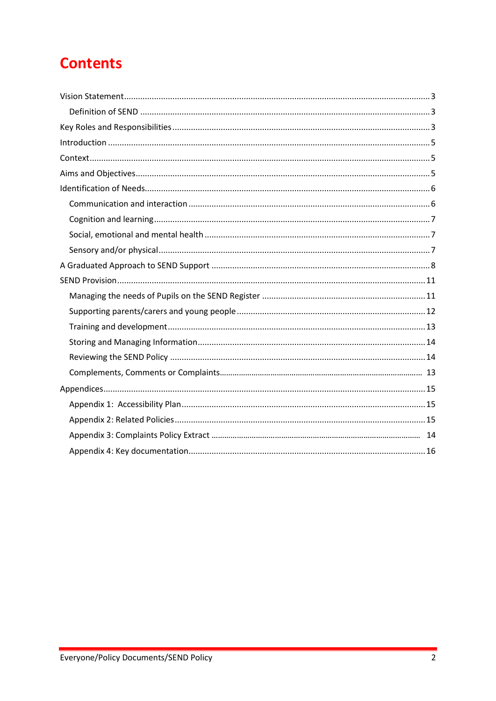# **Contents**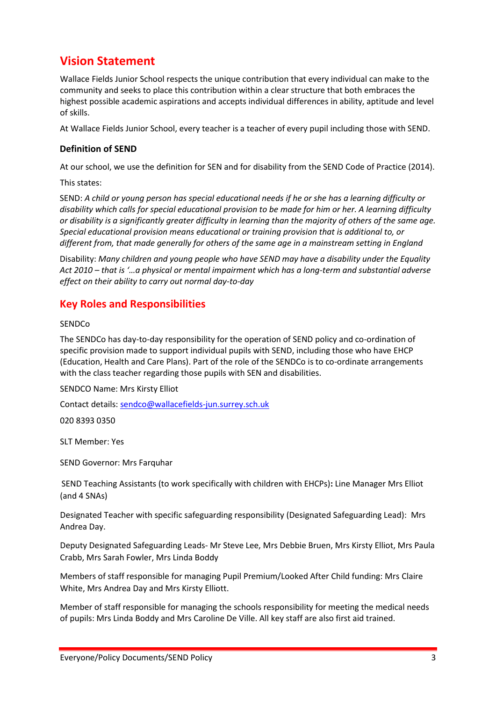# <span id="page-2-0"></span>**Vision Statement**

Wallace Fields Junior School respects the unique contribution that every individual can make to the community and seeks to place this contribution within a clear structure that both embraces the highest possible academic aspirations and accepts individual differences in ability, aptitude and level of skills.

At Wallace Fields Junior School, every teacher is a teacher of every pupil including those with SEND.

### <span id="page-2-1"></span>**Definition of SEND**

At our school, we use the definition for SEN and for disability from the SEND Code of Practice (2014).

This states:

SEND: *A child or young person has special educational needs if he or she has a learning difficulty or disability which calls for special educational provision to be made for him or her. A learning difficulty or disability is a significantly greater difficulty in learning than the majority of others of the same age. Special educational provision means educational or training provision that is additional to, or different from, that made generally for others of the same age in a mainstream setting in England* 

Disability: *Many children and young people who have SEND may have a disability under the Equality Act 2010 – that is '…a physical or mental impairment which has a long-term and substantial adverse effect on their ability to carry out normal day-to-day* 

### <span id="page-2-2"></span>**Key Roles and Responsibilities**

### SENDCo

The SENDCo has day-to-day responsibility for the operation of SEND policy and co-ordination of specific provision made to support individual pupils with SEND, including those who have EHCP (Education, Health and Care Plans). Part of the role of the SENDCo is to co-ordinate arrangements with the class teacher regarding those pupils with SEN and disabilities.

SENDCO Name: Mrs Kirsty Elliot

Contact details: [sendco@wallacefields-jun.surrey.sch.uk](mailto:sendco@wallacefields-jun.surrey.sch.uk)

020 8393 0350

SLT Member: Yes

SEND Governor: Mrs Farquhar

SEND Teaching Assistants (to work specifically with children with EHCPs)**:** Line Manager Mrs Elliot (and 4 SNAs)

Designated Teacher with specific safeguarding responsibility (Designated Safeguarding Lead): Mrs Andrea Day.

Deputy Designated Safeguarding Leads- Mr Steve Lee, Mrs Debbie Bruen, Mrs Kirsty Elliot, Mrs Paula Crabb, Mrs Sarah Fowler, Mrs Linda Boddy

Members of staff responsible for managing Pupil Premium/Looked After Child funding: Mrs Claire White, Mrs Andrea Day and Mrs Kirsty Elliott.

Member of staff responsible for managing the schools responsibility for meeting the medical needs of pupils: Mrs Linda Boddy and Mrs Caroline De Ville. All key staff are also first aid trained.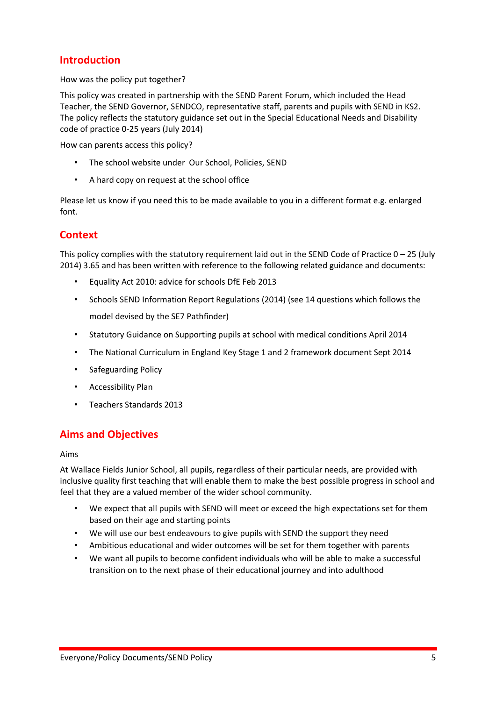### **Introduction**

How was the policy put together?

This policy was created in partnership with the SEND Parent Forum, which included the Head Teacher, the SEND Governor, SENDCO, representative staff, parents and pupils with SEND in KS2. The policy reflects the statutory guidance set out in the Special Educational Needs and Disability code of practice 0-25 years (July 2014)

How can parents access this policy?

- The school website under Our School, Policies, SEND
- A hard copy on request at the school office

Please let us know if you need this to be made available to you in a different format e.g. enlarged font.

### <span id="page-4-0"></span>**Context**

This policy complies with the statutory requirement laid out in the SEND Code of Practice  $0 - 25$  (July 2014) 3.65 and has been written with reference to the following related guidance and documents:

- Equality Act 2010: advice for schools DfE Feb 2013
- Schools SEND Information Report Regulations (2014) (see 14 questions which follows the model devised by the SE7 Pathfinder)
- Statutory Guidance on Supporting pupils at school with medical conditions April 2014
- The National Curriculum in England Key Stage 1 and 2 framework document Sept 2014
- Safeguarding Policy
- Accessibility Plan
- Teachers Standards 2013

### <span id="page-4-1"></span>**Aims and Objectives**

### Aims

At Wallace Fields Junior School, all pupils, regardless of their particular needs, are provided with inclusive quality first teaching that will enable them to make the best possible progress in school and feel that they are a valued member of the wider school community.

- We expect that all pupils with SEND will meet or exceed the high expectations set for them based on their age and starting points
- We will use our best endeavours to give pupils with SEND the support they need
- Ambitious educational and wider outcomes will be set for them together with parents
- We want all pupils to become confident individuals who will be able to make a successful transition on to the next phase of their educational journey and into adulthood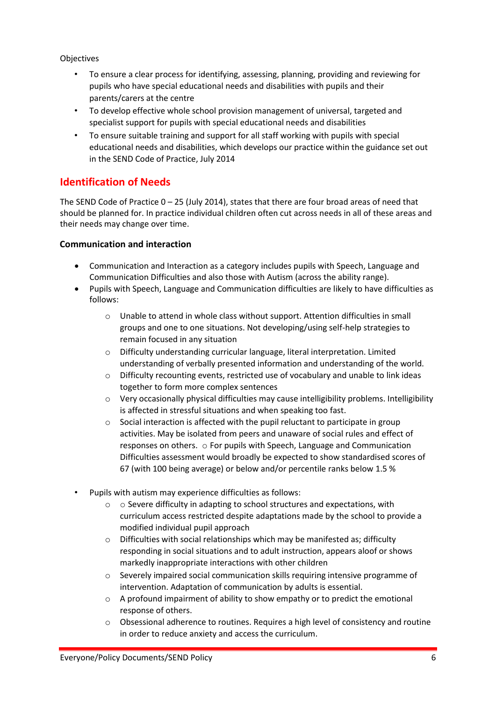### Objectives

- To ensure a clear process for identifying, assessing, planning, providing and reviewing for pupils who have special educational needs and disabilities with pupils and their parents/carers at the centre
- To develop effective whole school provision management of universal, targeted and specialist support for pupils with special educational needs and disabilities
- To ensure suitable training and support for all staff working with pupils with special educational needs and disabilities, which develops our practice within the guidance set out in the SEND Code of Practice, July 2014

## <span id="page-5-0"></span>**Identification of Needs**

The SEND Code of Practice 0 – 25 (July 2014), states that there are four broad areas of need that should be planned for. In practice individual children often cut across needs in all of these areas and their needs may change over time.

### <span id="page-5-1"></span>**Communication and interaction**

- Communication and Interaction as a category includes pupils with Speech, Language and Communication Difficulties and also those with Autism (across the ability range).
- Pupils with Speech, Language and Communication difficulties are likely to have difficulties as follows:
	- o Unable to attend in whole class without support. Attention difficulties in small groups and one to one situations. Not developing/using self-help strategies to remain focused in any situation
	- $\circ$  Difficulty understanding curricular language, literal interpretation. Limited understanding of verbally presented information and understanding of the world.
	- o Difficulty recounting events, restricted use of vocabulary and unable to link ideas together to form more complex sentences
	- $\circ$  Very occasionally physical difficulties may cause intelligibility problems. Intelligibility is affected in stressful situations and when speaking too fast.
	- o Social interaction is affected with the pupil reluctant to participate in group activities. May be isolated from peers and unaware of social rules and effect of responses on others. o For pupils with Speech, Language and Communication Difficulties assessment would broadly be expected to show standardised scores of 67 (with 100 being average) or below and/or percentile ranks below 1.5 %
- Pupils with autism may experience difficulties as follows:
	- o o Severe difficulty in adapting to school structures and expectations, with curriculum access restricted despite adaptations made by the school to provide a modified individual pupil approach
	- $\circ$  Difficulties with social relationships which may be manifested as; difficulty responding in social situations and to adult instruction, appears aloof or shows markedly inappropriate interactions with other children
	- o Severely impaired social communication skills requiring intensive programme of intervention. Adaptation of communication by adults is essential.
	- o A profound impairment of ability to show empathy or to predict the emotional response of others.
	- o Obsessional adherence to routines. Requires a high level of consistency and routine in order to reduce anxiety and access the curriculum.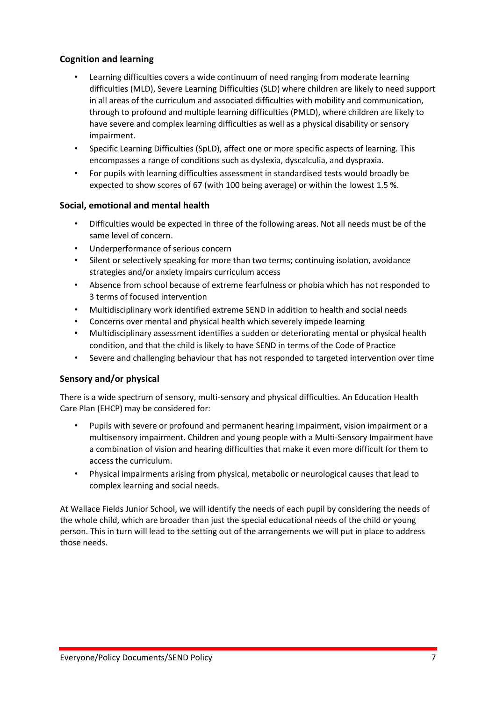### <span id="page-6-0"></span>**Cognition and learning**

- Learning difficulties covers a wide continuum of need ranging from moderate learning difficulties (MLD), Severe Learning Difficulties (SLD) where children are likely to need support in all areas of the curriculum and associated difficulties with mobility and communication, through to profound and multiple learning difficulties (PMLD), where children are likely to have severe and complex learning difficulties as well as a physical disability or sensory impairment.
- Specific Learning Difficulties (SpLD), affect one or more specific aspects of learning. This encompasses a range of conditions such as dyslexia, dyscalculia, and dyspraxia.
- For pupils with learning difficulties assessment in standardised tests would broadly be expected to show scores of 67 (with 100 being average) or within the lowest 1.5 %.

### <span id="page-6-1"></span>**Social, emotional and mental health**

- Difficulties would be expected in three of the following areas. Not all needs must be of the same level of concern.
- Underperformance of serious concern
- Silent or selectively speaking for more than two terms; continuing isolation, avoidance strategies and/or anxiety impairs curriculum access
- Absence from school because of extreme fearfulness or phobia which has not responded to 3 terms of focused intervention
- Multidisciplinary work identified extreme SEND in addition to health and social needs
- Concerns over mental and physical health which severely impede learning
- Multidisciplinary assessment identifies a sudden or deteriorating mental or physical health condition, and that the child is likely to have SEND in terms of the Code of Practice
- Severe and challenging behaviour that has not responded to targeted intervention over time

### <span id="page-6-2"></span>**Sensory and/or physical**

There is a wide spectrum of sensory, multi-sensory and physical difficulties. An Education Health Care Plan (EHCP) may be considered for:

- Pupils with severe or profound and permanent hearing impairment, vision impairment or a multisensory impairment. Children and young people with a Multi-Sensory Impairment have a combination of vision and hearing difficulties that make it even more difficult for them to access the curriculum.
- Physical impairments arising from physical, metabolic or neurological causes that lead to complex learning and social needs.

At Wallace Fields Junior School, we will identify the needs of each pupil by considering the needs of the whole child, which are broader than just the special educational needs of the child or young person. This in turn will lead to the setting out of the arrangements we will put in place to address those needs.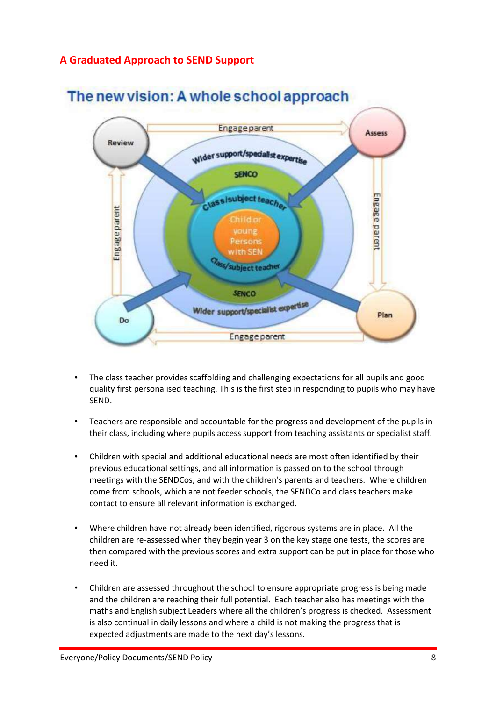# <span id="page-7-0"></span>**A Graduated Approach to SEND Support**



# The new vision: A whole school approach

- The class teacher provides scaffolding and challenging expectations for all pupils and good quality first personalised teaching. This is the first step in responding to pupils who may have SEND.
- Teachers are responsible and accountable for the progress and development of the pupils in their class, including where pupils access support from teaching assistants or specialist staff.
- Children with special and additional educational needs are most often identified by their previous educational settings, and all information is passed on to the school through meetings with the SENDCos, and with the children's parents and teachers. Where children come from schools, which are not feeder schools, the SENDCo and class teachers make contact to ensure all relevant information is exchanged.
- Where children have not already been identified, rigorous systems are in place. All the children are re-assessed when they begin year 3 on the key stage one tests, the scores are then compared with the previous scores and extra support can be put in place for those who need it.
- Children are assessed throughout the school to ensure appropriate progress is being made and the children are reaching their full potential. Each teacher also has meetings with the maths and English subject Leaders where all the children's progress is checked. Assessment is also continual in daily lessons and where a child is not making the progress that is expected adjustments are made to the next day's lessons.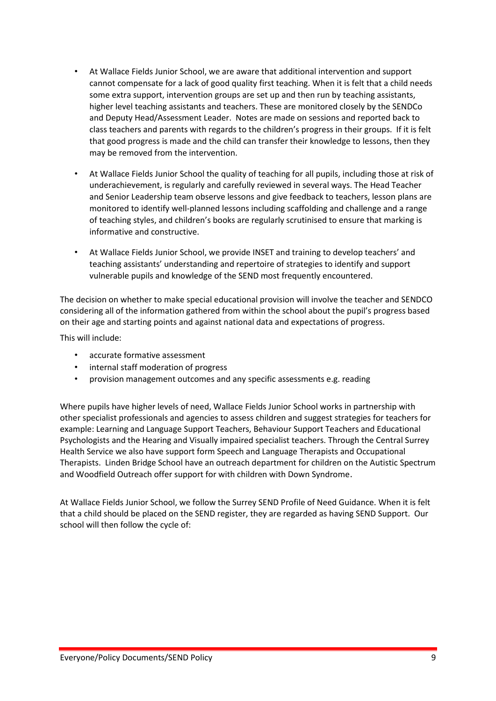- At Wallace Fields Junior School, we are aware that additional intervention and support cannot compensate for a lack of good quality first teaching. When it is felt that a child needs some extra support, intervention groups are set up and then run by teaching assistants, higher level teaching assistants and teachers. These are monitored closely by the SENDCo and Deputy Head/Assessment Leader. Notes are made on sessions and reported back to class teachers and parents with regards to the children's progress in their groups. If it is felt that good progress is made and the child can transfer their knowledge to lessons, then they may be removed from the intervention.
- At Wallace Fields Junior School the quality of teaching for all pupils, including those at risk of underachievement, is regularly and carefully reviewed in several ways. The Head Teacher and Senior Leadership team observe lessons and give feedback to teachers, lesson plans are monitored to identify well-planned lessons including scaffolding and challenge and a range of teaching styles, and children's books are regularly scrutinised to ensure that marking is informative and constructive.
- At Wallace Fields Junior School, we provide INSET and training to develop teachers' and teaching assistants' understanding and repertoire of strategies to identify and support vulnerable pupils and knowledge of the SEND most frequently encountered.

The decision on whether to make special educational provision will involve the teacher and SENDCO considering all of the information gathered from within the school about the pupil's progress based on their age and starting points and against national data and expectations of progress.

This will include:

- accurate formative assessment
- internal staff moderation of progress
- provision management outcomes and any specific assessments e.g. reading

Where pupils have higher levels of need, Wallace Fields Junior School works in partnership with other specialist professionals and agencies to assess children and suggest strategies for teachers for example: Learning and Language Support Teachers, Behaviour Support Teachers and Educational Psychologists and the Hearing and Visually impaired specialist teachers. Through the Central Surrey Health Service we also have support form Speech and Language Therapists and Occupational Therapists. Linden Bridge School have an outreach department for children on the Autistic Spectrum and Woodfield Outreach offer support for with children with Down Syndrome.

At Wallace Fields Junior School, we follow the Surrey SEND Profile of Need Guidance. When it is felt that a child should be placed on the SEND register, they are regarded as having SEND Support. Our school will then follow the cycle of: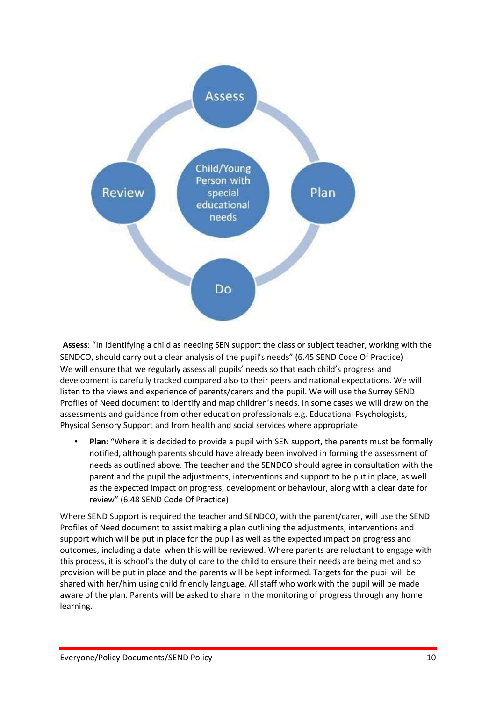

**Assess**: "In identifying a child as needing SEN support the class or subject teacher, working with the SENDCO, should carry out a clear analysis of the pupil's needs" (6.45 SEND Code Of Practice) We will ensure that we regularly assess all pupils' needs so that each child's progress and development is carefully tracked compared also to their peers and national expectations. We will listen to the views and experience of parents/carers and the pupil. We will use the Surrey SEND Profiles of Need document to identify and map children's needs. In some cases we will draw on the assessments and guidance from other education professionals e.g. Educational Psychologists, Physical Sensory Support and from health and social services where appropriate

• **Plan**: "Where it is decided to provide a pupil with SEN support, the parents must be formally notified, although parents should have already been involved in forming the assessment of needs as outlined above. The teacher and the SENDCO should agree in consultation with the parent and the pupil the adjustments, interventions and support to be put in place, as well as the expected impact on progress, development or behaviour, along with a clear date for review" (6.48 SEND Code Of Practice)

Where SEND Support is required the teacher and SENDCO, with the parent/carer, will use the SEND Profiles of Need document to assist making a plan outlining the adjustments, interventions and support which will be put in place for the pupil as well as the expected impact on progress and outcomes, including a date when this will be reviewed. Where parents are reluctant to engage with this process, it is school's the duty of care to the child to ensure their needs are being met and so provision will be put in place and the parents will be kept informed. Targets for the pupil will be shared with her/him using child friendly language. All staff who work with the pupil will be made aware of the plan. Parents will be asked to share in the monitoring of progress through any home learning.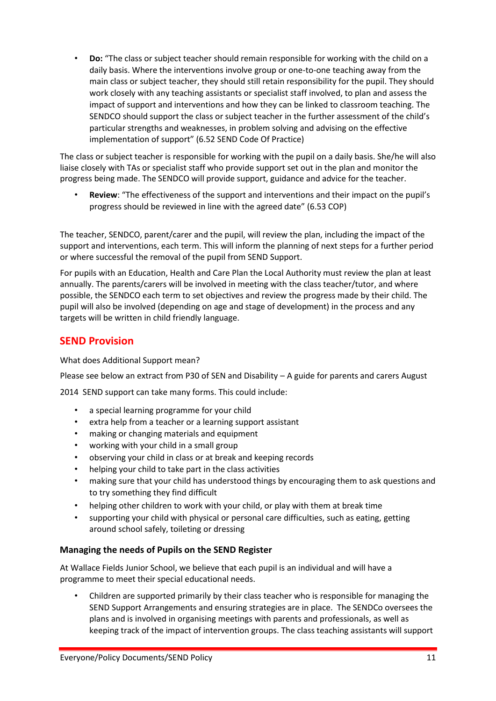• **Do:** "The class or subject teacher should remain responsible for working with the child on a daily basis. Where the interventions involve group or one-to-one teaching away from the main class or subject teacher, they should still retain responsibility for the pupil. They should work closely with any teaching assistants or specialist staff involved, to plan and assess the impact of support and interventions and how they can be linked to classroom teaching. The SENDCO should support the class or subject teacher in the further assessment of the child's particular strengths and weaknesses, in problem solving and advising on the effective implementation of support" (6.52 SEND Code Of Practice)

The class or subject teacher is responsible for working with the pupil on a daily basis. She/he will also liaise closely with TAs or specialist staff who provide support set out in the plan and monitor the progress being made. The SENDCO will provide support, guidance and advice for the teacher.

• **Review**: "The effectiveness of the support and interventions and their impact on the pupil's progress should be reviewed in line with the agreed date" (6.53 COP)

The teacher, SENDCO, parent/carer and the pupil, will review the plan, including the impact of the support and interventions, each term. This will inform the planning of next steps for a further period or where successful the removal of the pupil from SEND Support.

For pupils with an Education, Health and Care Plan the Local Authority must review the plan at least annually. The parents/carers will be involved in meeting with the class teacher/tutor, and where possible, the SENDCO each term to set objectives and review the progress made by their child. The pupil will also be involved (depending on age and stage of development) in the process and any targets will be written in child friendly language.

### <span id="page-10-0"></span>**SEND Provision**

What does Additional Support mean?

Please see below an extract from P30 of SEN and Disability – A guide for parents and carers August

2014 SEND support can take many forms. This could include:

- a special learning programme for your child
- extra help from a teacher or a learning support assistant
- making or changing materials and equipment
- working with your child in a small group
- observing your child in class or at break and keeping records
- helping your child to take part in the class activities
- making sure that your child has understood things by encouraging them to ask questions and to try something they find difficult
- helping other children to work with your child, or play with them at break time
- supporting your child with physical or personal care difficulties, such as eating, getting around school safely, toileting or dressing

### <span id="page-10-1"></span>**Managing the needs of Pupils on the SEND Register**

At Wallace Fields Junior School, we believe that each pupil is an individual and will have a programme to meet their special educational needs.

• Children are supported primarily by their class teacher who is responsible for managing the SEND Support Arrangements and ensuring strategies are in place. The SENDCo oversees the plans and is involved in organising meetings with parents and professionals, as well as keeping track of the impact of intervention groups. The class teaching assistants will support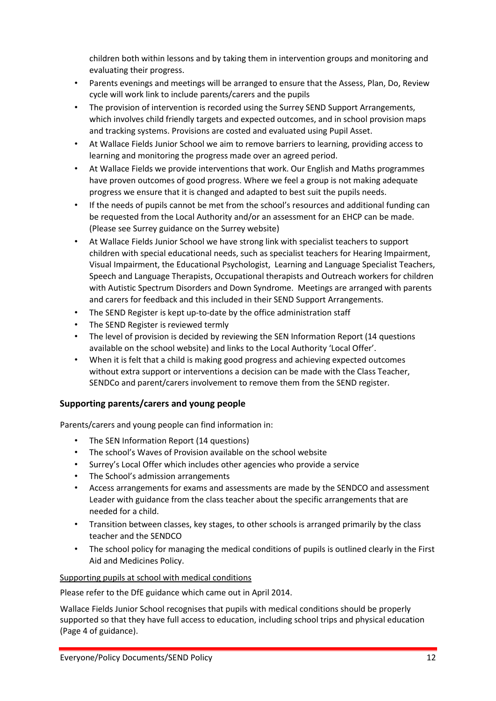children both within lessons and by taking them in intervention groups and monitoring and evaluating their progress.

- Parents evenings and meetings will be arranged to ensure that the Assess, Plan, Do, Review cycle will work link to include parents/carers and the pupils
- The provision of intervention is recorded using the Surrey SEND Support Arrangements, which involves child friendly targets and expected outcomes, and in school provision maps and tracking systems. Provisions are costed and evaluated using Pupil Asset.
- At Wallace Fields Junior School we aim to remove barriers to learning, providing access to learning and monitoring the progress made over an agreed period.
- At Wallace Fields we provide interventions that work. Our English and Maths programmes have proven outcomes of good progress. Where we feel a group is not making adequate progress we ensure that it is changed and adapted to best suit the pupils needs.
- If the needs of pupils cannot be met from the school's resources and additional funding can be requested from the Local Authority and/or an assessment for an EHCP can be made. (Please see Surrey guidance on the Surrey website)
- At Wallace Fields Junior School we have strong link with specialist teachers to support children with special educational needs, such as specialist teachers for Hearing Impairment, Visual Impairment, the Educational Psychologist, Learning and Language Specialist Teachers, Speech and Language Therapists, Occupational therapists and Outreach workers for children with Autistic Spectrum Disorders and Down Syndrome. Meetings are arranged with parents and carers for feedback and this included in their SEND Support Arrangements.
- The SEND Register is kept up-to-date by the office administration staff
- The SEND Register is reviewed termly
- The level of provision is decided by reviewing the SEN Information Report (14 questions available on the school website) and links to the Local Authority 'Local Offer'.
- When it is felt that a child is making good progress and achieving expected outcomes without extra support or interventions a decision can be made with the Class Teacher, SENDCo and parent/carers involvement to remove them from the SEND register.

### <span id="page-11-0"></span>**Supporting parents/carers and young people**

Parents/carers and young people can find information in:

- The SEN Information Report (14 questions)
- The school's Waves of Provision available on the school website
- Surrey's Local Offer which includes other agencies who provide a service
- The School's admission arrangements
- Access arrangements for exams and assessments are made by the SENDCO and assessment Leader with guidance from the class teacher about the specific arrangements that are needed for a child.
- Transition between classes, key stages, to other schools is arranged primarily by the class teacher and the SENDCO
- The school policy for managing the medical conditions of pupils is outlined clearly in the First Aid and Medicines Policy.

### Supporting pupils at school with medical conditions

Please refer to the DfE guidance which came out in April 2014.

Wallace Fields Junior School recognises that pupils with medical conditions should be properly supported so that they have full access to education, including school trips and physical education (Page 4 of guidance).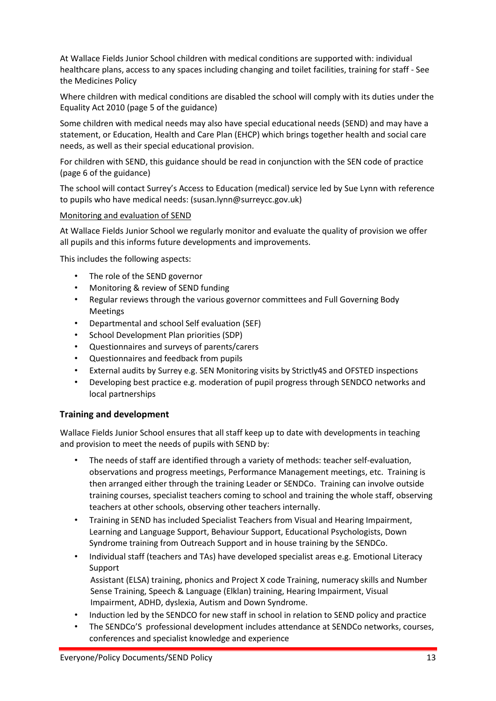At Wallace Fields Junior School children with medical conditions are supported with: individual healthcare plans, access to any spaces including changing and toilet facilities, training for staff - See the Medicines Policy

Where children with medical conditions are disabled the school will comply with its duties under the Equality Act 2010 (page 5 of the guidance)

Some children with medical needs may also have special educational needs (SEND) and may have a statement, or Education, Health and Care Plan (EHCP) which brings together health and social care needs, as well as their special educational provision.

For children with SEND, this guidance should be read in conjunction with the SEN code of practice (page 6 of the guidance)

The school will contact Surrey's Access to Education (medical) service led by Sue Lynn with reference to pupils who have medical needs: (susan.lynn@surreycc.gov.uk)

### Monitoring and evaluation of SEND

At Wallace Fields Junior School we regularly monitor and evaluate the quality of provision we offer all pupils and this informs future developments and improvements.

This includes the following aspects:

- The role of the SEND governor
- Monitoring & review of SEND funding
- Regular reviews through the various governor committees and Full Governing Body Meetings
- Departmental and school Self evaluation (SEF)
- School Development Plan priorities (SDP)
- Questionnaires and surveys of parents/carers
- Questionnaires and feedback from pupils
- External audits by Surrey e.g. SEN Monitoring visits by Strictly4S and OFSTED inspections
- Developing best practice e.g. moderation of pupil progress through SENDCO networks and local partnerships

### <span id="page-12-0"></span>**Training and development**

Wallace Fields Junior School ensures that all staff keep up to date with developments in teaching and provision to meet the needs of pupils with SEND by:

- The needs of staff are identified through a variety of methods: teacher self-evaluation, observations and progress meetings, Performance Management meetings, etc. Training is then arranged either through the training Leader or SENDCo. Training can involve outside training courses, specialist teachers coming to school and training the whole staff, observing teachers at other schools, observing other teachers internally.
- Training in SEND has included Specialist Teachers from Visual and Hearing Impairment, Learning and Language Support, Behaviour Support, Educational Psychologists, Down Syndrome training from Outreach Support and in house training by the SENDCo.
- Individual staff (teachers and TAs) have developed specialist areas e.g. Emotional Literacy Support

Assistant (ELSA) training, phonics and Project X code Training, numeracy skills and Number Sense Training, Speech & Language (Elklan) training, Hearing Impairment, Visual Impairment, ADHD, dyslexia, Autism and Down Syndrome.

- Induction led by the SENDCO for new staff in school in relation to SEND policy and practice
- The SENDCo'S professional development includes attendance at SENDCo networks, courses, conferences and specialist knowledge and experience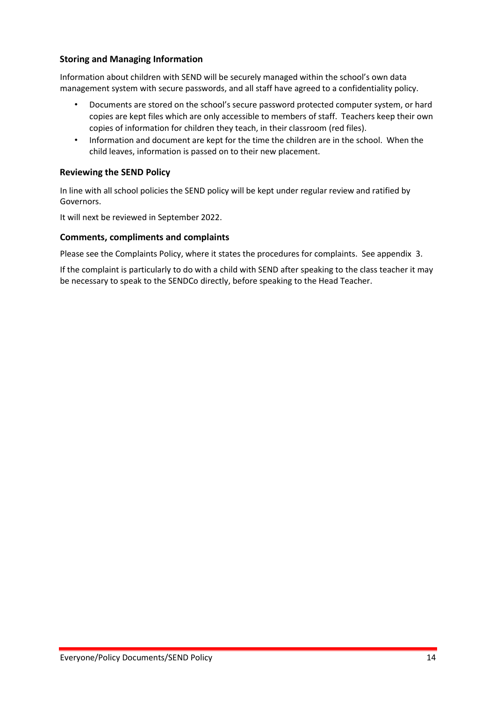### <span id="page-13-0"></span>**Storing and Managing Information**

Information about children with SEND will be securely managed within the school's own data management system with secure passwords, and all staff have agreed to a confidentiality policy.

- Documents are stored on the school's secure password protected computer system, or hard copies are kept files which are only accessible to members of staff. Teachers keep their own copies of information for children they teach, in their classroom (red files).
- Information and document are kept for the time the children are in the school. When the child leaves, information is passed on to their new placement.

### <span id="page-13-1"></span>**Reviewing the SEND Policy**

In line with all school policies the SEND policy will be kept under regular review and ratified by Governors.

It will next be reviewed in September 2022.

### **Comments, compliments and complaints**

Please see the Complaints Policy, where it states the procedures for complaints. See appendix 3.

If the complaint is particularly to do with a child with SEND after speaking to the class teacher it may be necessary to speak to the SENDCo directly, before speaking to the Head Teacher.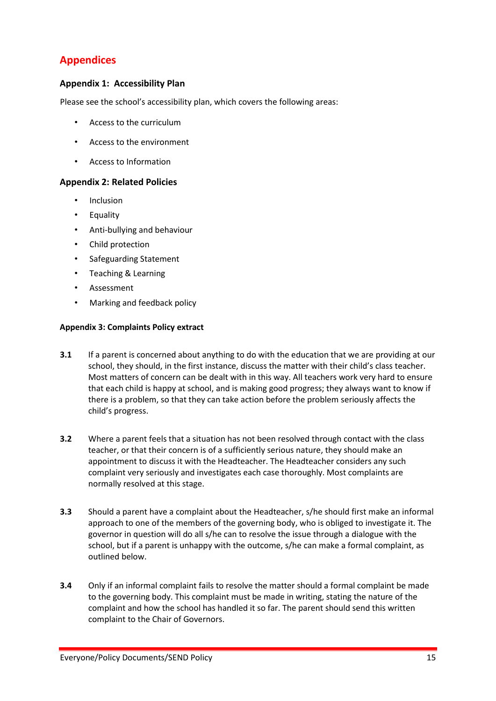# <span id="page-14-0"></span>**Appendices**

### <span id="page-14-1"></span>**Appendix 1: Accessibility Plan**

Please see the school's accessibility plan, which covers the following areas:

- Access to the curriculum
- Access to the environment
- Access to Information

### <span id="page-14-2"></span>**Appendix 2: Related Policies**

- **Inclusion**
- Equality
- Anti-bullying and behaviour
- Child protection
- Safeguarding Statement
- Teaching & Learning
- Assessment
- Marking and feedback policy

### **Appendix 3: Complaints Policy extract**

- **3.1** If a parent is concerned about anything to do with the education that we are providing at our school, they should, in the first instance, discuss the matter with their child's class teacher. Most matters of concern can be dealt with in this way. All teachers work very hard to ensure that each child is happy at school, and is making good progress; they always want to know if there is a problem, so that they can take action before the problem seriously affects the child's progress.
- **3.2** Where a parent feels that a situation has not been resolved through contact with the class teacher, or that their concern is of a sufficiently serious nature, they should make an appointment to discuss it with the Headteacher. The Headteacher considers any such complaint very seriously and investigates each case thoroughly. Most complaints are normally resolved at this stage.
- **3.3** Should a parent have a complaint about the Headteacher, s/he should first make an informal approach to one of the members of the governing body, who is obliged to investigate it. The governor in question will do all s/he can to resolve the issue through a dialogue with the school, but if a parent is unhappy with the outcome, s/he can make a formal complaint, as outlined below.
- **3.4** Only if an informal complaint fails to resolve the matter should a formal complaint be made to the governing body. This complaint must be made in writing, stating the nature of the complaint and how the school has handled it so far. The parent should send this written complaint to the Chair of Governors.